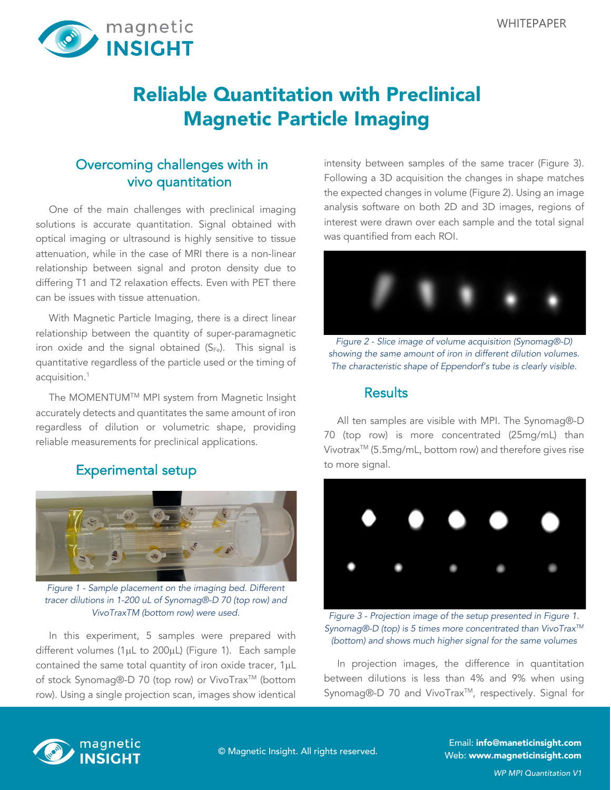

# Reliable Quantitation with Preclinical Magnetic Particle Imaging

## Overcoming challenges with in vivo quantitation

One of the main challenges with preclinical imaging solutions is accurate quantitation. Signal obtained with optical imaging or ultrasound is highly sensitive to tissue attenuation, while in the case of MRI there is a non-linear relationship between signal and proton density due to differing T1 and T2 relaxation effects. Even with PET there can be issues with tissue attenuation.

With Magnetic Particle Imaging, there is a direct linear relationship between the quantity of super-paramagnetic iron oxide and the signal obtained  $(S_{Fe})$ . This signal is quantitative regardless of the particle used or the timing of acquisition.1

The MOMENTUMTM MPI system from Magnetic Insight accurately detects and quantitates the same amount of iron regardless of dilution or volumetric shape, providing reliable measurements for preclinical applications.

## Experimental setup



*Figure 1 - Sample placement on the imaging bed. Different tracer dilutions in 1-200 uL of Synomag®-D 70 (top row) and VivoTraxTM (bottom row) were used.*

In this experiment, 5 samples were prepared with different volumes (1µL to 200µL) (Figure 1). Each sample contained the same total quantity of iron oxide tracer, 1µL of stock Synomag®-D 70 (top row) or VivoTrax™ (bottom row). Using a single projection scan, images show identical intensity between samples of the same tracer (Figure 3). Following a 3D acquisition the changes in shape matches the expected changes in volume (Figure 2). Using an image analysis software on both 2D and 3D images, regions of interest were drawn over each sample and the total signal was quantified from each ROI.



*Figure 2 - Slice image of volume acquisition (Synomag®-D) showing the same amount of iron in different dilution volumes. The characteristic shape of Eppendorf's tube is clearly visible.*

#### **Results**

All ten samples are visible with MPI. The Synomag®-D 70 (top row) is more concentrated (25mg/mL) than Vivotrax<sup>™</sup> (5.5mg/mL, bottom row) and therefore gives rise to more signal.



*Figure 3 - Projection image of the setup presented in Figure 1. Synomag®-D (top) is 5 times more concentrated than VivoTraxTM (bottom) and shows much higher signal for the same volumes*

In projection images, the difference in quantitation between dilutions is less than 4% and 9% when using Synomag®-D 70 and VivoTrax<sup>™</sup>, respectively. Signal for



Email: info@maneticinsight.com Web: www.magneticinsight.com © Magnetic Insight. All rights reserved.